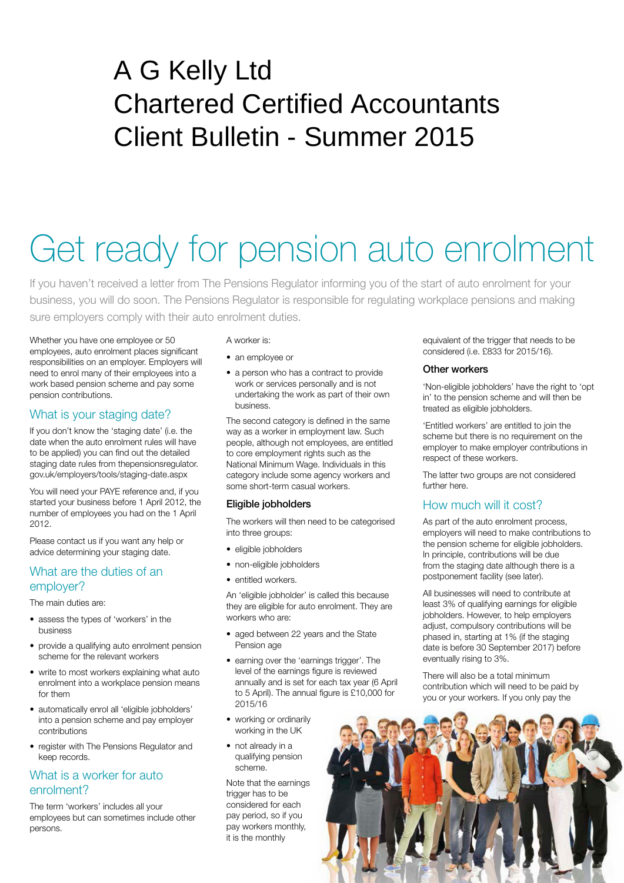# A G Kelly Ltd Chartered Certified Accountants Client Bulletin - Summer 2015

# Get ready for pension auto enrolment

If you haven't received a letter from The Pensions Regulator informing you of the start of auto enrolment for your business, you will do soon. The Pensions Regulator is responsible for regulating workplace pensions and making sure employers comply with their auto enrolment duties.

Whether you have one employee or 50 employees, auto enrolment places significant responsibilities on an employer. Employers will need to enrol many of their employees into a work based pension scheme and pay some pension contributions.

# What is your staging date?

If you don't know the 'staging date' (i.e. the date when the auto enrolment rules will have to be applied) you can find out the detailed staging date rules from thepensionsregulator. gov.uk/employers/tools/staging-date.aspx

You will need your PAYE reference and, if you started your business before 1 April 2012, the number of employees you had on the 1 April 2012.

Please contact us if you want any help or advice determining your staging date.

# What are the duties of an employer?

The main duties are:

- assess the types of 'workers' in the business
- provide a qualifying auto enrolment pension scheme for the relevant workers
- write to most workers explaining what auto enrolment into a workplace pension means for them
- automatically enrol all 'eligible jobholders' into a pension scheme and pay employer contributions
- register with The Pensions Regulator and keep records.

# What is a worker for auto enrolment?

The term 'workers' includes all your employees but can sometimes include other persons.

#### A worker is:

- an employee or
- a person who has a contract to provide work or services personally and is not undertaking the work as part of their own business.

The second category is defined in the same way as a worker in employment law. Such people, although not employees, are entitled to core employment rights such as the National Minimum Wage. Individuals in this category include some agency workers and some short-term casual workers.

### Eligible jobholders

The workers will then need to be categorised into three groups:

- eligible jobholders
- non-eligible jobholders
- entitled workers.

An 'eligible jobholder' is called this because they are eligible for auto enrolment. They are workers who are:

- aged between 22 years and the State Pension age
- earning over the 'earnings trigger'. The level of the earnings figure is reviewed annually and is set for each tax year (6 April to 5 April). The annual figure is £10,000 for 2015/16
- working or ordinarily working in the UK
- not already in a qualifying pension scheme.

Note that the earnings trigger has to be considered for each pay period, so if you pay workers monthly, it is the monthly

equivalent of the trigger that needs to be considered (i.e. £833 for 2015/16).

#### Other workers

'Non-eligible jobholders' have the right to 'opt in' to the pension scheme and will then be treated as eligible jobholders.

'Entitled workers' are entitled to join the scheme but there is no requirement on the employer to make employer contributions in respect of these workers.

The latter two groups are not considered further here.

# How much will it cost?

As part of the auto enrolment process, employers will need to make contributions to the pension scheme for eligible jobholders. In principle, contributions will be due from the staging date although there is a postponement facility (see later).

All businesses will need to contribute at least 3% of qualifying earnings for eligible jobholders. However, to help employers adjust, compulsory contributions will be phased in, starting at 1% (if the staging date is before 30 September 2017) before eventually rising to 3%.

There will also be a total minimum contribution which will need to be paid by you or your workers. If you only pay the